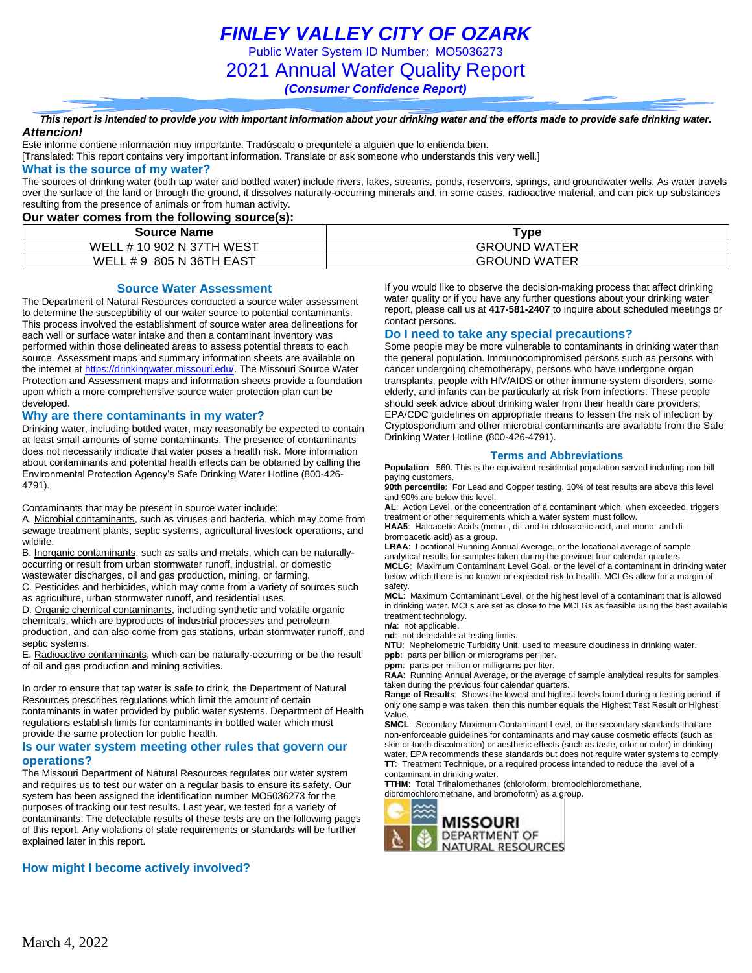*FINLEY VALLEY CITY OF OZARK*

Public Water System ID Number: MO5036273

2021 Annual Water Quality Report

*(Consumer Confidence Report)*

*This report is intended to provide you with important information about your drinking water and the efforts made to provide safe drinking water. Attencion!*

Este informe contiene información muy importante. Tradúscalo o prequntele a alguien que lo entienda bien.

[Translated: This report contains very important information. Translate or ask someone who understands this very well.]

#### **What is the source of my water?**

The sources of drinking water (both tap water and bottled water) include rivers, lakes, streams, ponds, reservoirs, springs, and groundwater wells. As water travels over the surface of the land or through the ground, it dissolves naturally-occurring minerals and, in some cases, radioactive material, and can pick up substances resulting from the presence of animals or from human activity.

#### **Our water comes from the following source(s):**

| <b>Source Name</b>             | $\tau$ vpe          |
|--------------------------------|---------------------|
| WELI<br>. # 10 902 N 37TH WEST | <b>GROUND WATER</b> |
| WEL.<br>. # 9 805 N 36TH EAST  | <b>GROUND WATER</b> |

#### **Source Water Assessment**

The Department of Natural Resources conducted a source water assessment to determine the susceptibility of our water source to potential contaminants. This process involved the establishment of source water area delineations for each well or surface water intake and then a contaminant inventory was performed within those delineated areas to assess potential threats to each source. Assessment maps and summary information sheets are available on the internet a[t https://drinkingwater.missouri.edu/.](https://drinkingwater.missouri.edu/) The Missouri Source Water Protection and Assessment maps and information sheets provide a foundation upon which a more comprehensive source water protection plan can be developed.

#### **Why are there contaminants in my water?**

Drinking water, including bottled water, may reasonably be expected to contain at least small amounts of some contaminants. The presence of contaminants does not necessarily indicate that water poses a health risk. More information about contaminants and potential health effects can be obtained by calling the Environmental Protection Agency's Safe Drinking Water Hotline (800-426- 4791).

Contaminants that may be present in source water include:

A. Microbial contaminants, such as viruses and bacteria, which may come from sewage treatment plants, septic systems, agricultural livestock operations, and wildlife.

B. Inorganic contaminants, such as salts and metals, which can be naturallyoccurring or result from urban stormwater runoff, industrial, or domestic

wastewater discharges, oil and gas production, mining, or farming.

C. Pesticides and herbicides, which may come from a variety of sources such as agriculture, urban stormwater runoff, and residential uses.

D. Organic chemical contaminants, including synthetic and volatile organic chemicals, which are byproducts of industrial processes and petroleum production, and can also come from gas stations, urban stormwater runoff, and septic systems.

E. Radioactive contaminants, which can be naturally-occurring or be the result of oil and gas production and mining activities.

In order to ensure that tap water is safe to drink, the Department of Natural Resources prescribes regulations which limit the amount of certain contaminants in water provided by public water systems. Department of Health regulations establish limits for contaminants in bottled water which must provide the same protection for public health.

#### **Is our water system meeting other rules that govern our operations?**

The Missouri Department of Natural Resources regulates our water system and requires us to test our water on a regular basis to ensure its safety. Our system has been assigned the identification number MO5036273 for the purposes of tracking our test results. Last year, we tested for a variety of contaminants. The detectable results of these tests are on the following pages of this report. Any violations of state requirements or standards will be further explained later in this report.

#### **How might I become actively involved?**

If you would like to observe the decision-making process that affect drinking water quality or if you have any further questions about your drinking water report, please call us at **417-581-2407** to inquire about scheduled meetings or contact persons.

#### **Do I need to take any special precautions?**

Some people may be more vulnerable to contaminants in drinking water than the general population. Immunocompromised persons such as persons with cancer undergoing chemotherapy, persons who have undergone organ transplants, people with HIV/AIDS or other immune system disorders, some elderly, and infants can be particularly at risk from infections. These people should seek advice about drinking water from their health care providers. EPA/CDC guidelines on appropriate means to lessen the risk of infection by Cryptosporidium and other microbial contaminants are available from the Safe Drinking Water Hotline (800-426-4791).

#### **Terms and Abbreviations**

**Population**: 560. This is the equivalent residential population served including non-bill paying customers.

**90th percentile**: For Lead and Copper testing. 10% of test results are above this level and 90% are below this level.

**AL**: Action Level, or the concentration of a contaminant which, when exceeded, triggers treatment or other requirements which a water system must follow.

**HAA5**: Haloacetic Acids (mono-, di- and tri-chloracetic acid, and mono- and dibromoacetic acid) as a group.

**LRAA**: Locational Running Annual Average, or the locational average of sample analytical results for samples taken during the previous four calendar quarters.

**MCLG**: Maximum Contaminant Level Goal, or the level of a contaminant in drinking water below which there is no known or expected risk to health. MCLGs allow for a margin of safety.

**MCL**: Maximum Contaminant Level, or the highest level of a contaminant that is allowed in drinking water. MCLs are set as close to the MCLGs as feasible using the best available treatment technology.

**n/a**: not applicable. **nd**: not detectable at testing limits.

**NTU**: Nephelometric Turbidity Unit, used to measure cloudiness in drinking water. **ppb**: parts per billion or micrograms per liter.

**ppm**: parts per million or milligrams per liter.

**RAA**: Running Annual Average, or the average of sample analytical results for samples taken during the previous four calendar quarters.

**Range of Results**: Shows the lowest and highest levels found during a testing period, if only one sample was taken, then this number equals the Highest Test Result or Highest Value.

**SMCL**: Secondary Maximum Contaminant Level, or the secondary standards that are non-enforceable guidelines for contaminants and may cause cosmetic effects (such as skin or tooth discoloration) or aesthetic effects (such as taste, odor or color) in drinking water. EPA recommends these standards but does not require water systems to comply **TT**: Treatment Technique, or a required process intended to reduce the level of a contaminant in drinking water.

**TTHM**: Total Trihalomethanes (chloroform, bromodichloromethane,